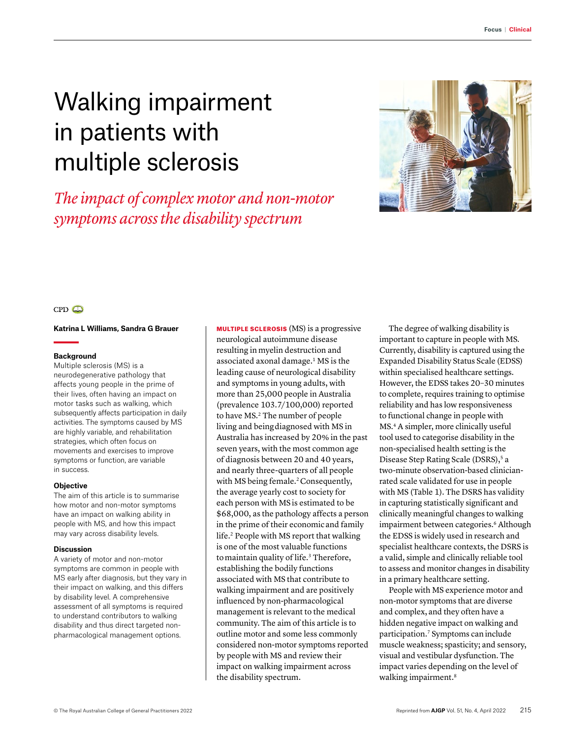# Walking impairment in patients with multiple sclerosis

# *The impact of complex motor and non-motor symptoms across the disability spectrum*



# $CPD$

#### **Katrina L Williams, Sandra G Brauer**

#### **Background**

Multiple sclerosis (MS) is a neurodegenerative pathology that affects young people in the prime of their lives, often having an impact on motor tasks such as walking, which subsequently affects participation in daily activities. The symptoms caused by MS are highly variable, and rehabilitation strategies, which often focus on movements and exercises to improve symptoms or function, are variable in success.

#### **Objective**

The aim of this article is to summarise how motor and non-motor symptoms have an impact on walking ability in people with MS, and how this impact may vary across disability levels.

#### **Discussion**

A variety of motor and non-motor symptoms are common in people with MS early after diagnosis, but they vary in their impact on walking, and this differs by disability level. A comprehensive assessment of all symptoms is required to understand contributors to walking disability and thus direct targeted nonpharmacological management options.

MULTIPLE SCLEROSIS (MS) is a progressive neurological autoimmune disease resulting in myelin destruction and associated axonal damage.<sup>1</sup> MS is the leading cause of neurological disability and symptoms in young adults, with more than 25,000 people in Australia (prevalence 103.7/100,000) reported to have MS.<sup>2</sup> The number of people living and being diagnosed with MS in Australia has increased by 20% in the past seven years, with the most common age of diagnosis between 20 and 40 years, and nearly three-quarters of all people with MS being female.<sup>2</sup> Consequently, the average yearly cost to society for each person with MS is estimated to be \$68,000, as the pathology affects a person in the prime of their economic and family life.<sup>2</sup> People with MS report that walking is one of the most valuable functions to maintain quality of life.<sup>3</sup> Therefore, establishing the bodily functions associated with MS that contribute to walking impairment and are positively influenced by non-pharmacological management is relevant to the medical community. The aim of this article is to outline motor and some less commonly considered non-motor symptoms reported by people with MS and review their impact on walking impairment across the disability spectrum.

The degree of walking disability is important to capture in people with MS. Currently, disability is captured using the Expanded Disability Status Scale (EDSS) within specialised healthcare settings. However, the EDSS takes 20–30 minutes to complete, requires training to optimise reliability and has low responsiveness to functional change in people with MS.4 A simpler, more clinically useful tool used to categorise disability in the non-specialised health setting is the Disease Step Rating Scale (DSRS),<sup>5</sup> a two-minute observation-based clinicianrated scale validated for use in people with MS (Table 1). The DSRS has validity in capturing statistically significant and clinically meaningful changes to walking impairment between categories.<sup>6</sup> Although the EDSS is widely used in research and specialist healthcare contexts, the DSRS is a valid, simple and clinically reliable tool to assess and monitor changes in disability in a primary healthcare setting.

People with MS experience motor and non-motor symptoms that are diverse and complex, and they often have a hidden negative impact on walking and participation.7 Symptoms can include muscle weakness; spasticity; and sensory, visual and vestibular dysfunction. The impact varies depending on the level of walking impairment.<sup>8</sup>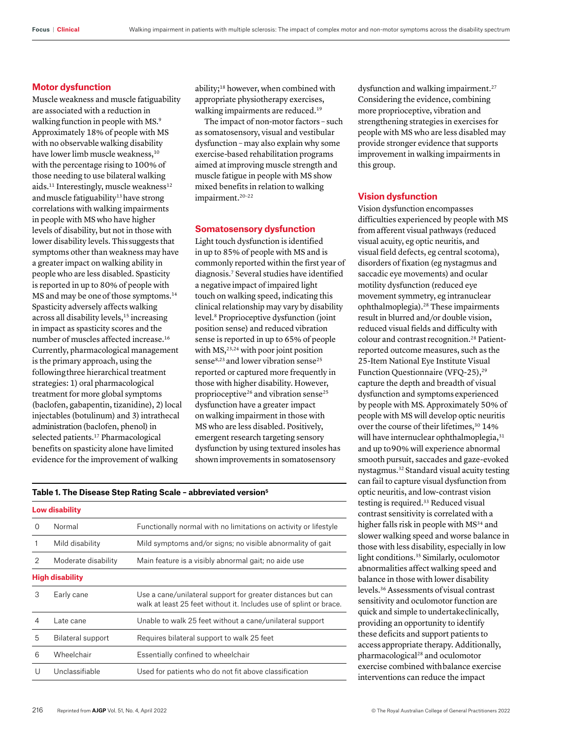#### **Motor dysfunction**

Muscle weakness and muscle fatiguability are associated with a reduction in walking function in people with MS.<sup>9</sup> Approximately 18% of people with MS with no observable walking disability have lower limb muscle weakness,<sup>10</sup> with the percentage rising to 100% of those needing to use bilateral walking aids.<sup>11</sup> Interestingly, muscle weakness<sup>12</sup> and muscle fatiguability<sup>13</sup> have strong correlations with walking impairments in people with MS who have higher levels of disability, but not in those with lower disability levels. This suggests that symptoms other than weakness may have a greater impact on walking ability in people who are less disabled. Spasticity is reported in up to 80% of people with MS and may be one of those symptoms.<sup>14</sup> Spasticity adversely affects walking across all disability levels,<sup>15</sup> increasing in impact as spasticity scores and the number of muscles affected increase.16 Currently, pharmacological management is the primary approach, using the following three hierarchical treatment strategies: 1) oral pharmacological treatment for more global symptoms (baclofen, gabapentin, tizanidine), 2) local injectables (botulinum) and 3) intrathecal administration (baclofen, phenol) in selected patients.<sup>17</sup> Pharmacological benefits on spasticity alone have limited evidence for the improvement of walking

ability;18 however, when combined with appropriate physiotherapy exercises, walking impairments are reduced.<sup>19</sup>

The impact of non-motor factors – such as somatosensory, visual and vestibular dysfunction – may also explain why some exercise-based rehabilitation programs aimed at improving muscle strength and muscle fatigue in people with MS show mixed benefits in relation to walking impairment.<sup>20-22</sup>

### **Somatosensory dysfunction**

Light touch dysfunction is identified in up to 85% of people with MS and is commonly reported within the first year of diagnosis.7 Several studies have identified a negative impact of impaired light touch on walking speed, indicating this clinical relationship may vary by disability level.8 Proprioceptive dysfunction (joint position sense) and reduced vibration sense is reported in up to 65% of people with  $MS<sub>1</sub><sup>23,24</sup>$  with poor joint position sense<sup>8,23</sup> and lower vibration sense<sup>25</sup> reported or captured more frequently in those with higher disability. However, proprioceptive<sup>26</sup> and vibration sense<sup>25</sup> dysfunction have a greater impact on walking impairment in those with MS who are less disabled. Positively, emergent research targeting sensory dysfunction by using textured insoles has shown improvements in somatosensory

#### **Table 1. The Disease Step Rating Scale – abbreviated version5**

| <b>Low disability</b>  |                     |                                                                                                                                   |  |  |
|------------------------|---------------------|-----------------------------------------------------------------------------------------------------------------------------------|--|--|
| $\Omega$               | Normal              | Functionally normal with no limitations on activity or lifestyle                                                                  |  |  |
|                        | Mild disability     | Mild symptoms and/or signs; no visible abnormality of gait                                                                        |  |  |
| 2                      | Moderate disability | Main feature is a visibly abnormal gait; no aide use                                                                              |  |  |
| <b>High disability</b> |                     |                                                                                                                                   |  |  |
| 3                      | Early cane          | Use a cane/unilateral support for greater distances but can<br>walk at least 25 feet without it. Includes use of splint or brace. |  |  |
| 4                      | Late cane           | Unable to walk 25 feet without a cane/unilateral support                                                                          |  |  |
| 5                      | Bilateral support   | Requires bilateral support to walk 25 feet                                                                                        |  |  |
| 6                      | Wheelchair          | Essentially confined to wheelchair                                                                                                |  |  |
| U                      | Unclassifiable      | Used for patients who do not fit above classification                                                                             |  |  |

dysfunction and walking impairment.27 Considering the evidence, combining more proprioceptive, vibration and strengthening strategies in exercises for people with MS who are less disabled may provide stronger evidence that supports improvement in walking impairments in this group.

#### **Vision dysfunction**

Vision dysfunction encompasses difficulties experienced by people with MS from afferent visual pathways (reduced visual acuity, eg optic neuritis, and visual field defects, eg central scotoma), disorders of fixation (eg nystagmus and saccadic eye movements) and ocular motility dysfunction (reduced eye movement symmetry, eg intranuclear ophthalmoplegia).28 These impairments result in blurred and/or double vision, reduced visual fields and difficulty with colour and contrast recognition.<sup>28</sup> Patientreported outcome measures, such as the 25-Item National Eye Institute Visual Function Questionnaire (VFQ-25),<sup>29</sup> capture the depth and breadth of visual dysfunction and symptoms experienced by people with MS. Approximately 50% of people with MS will develop optic neuritis over the course of their lifetimes,<sup>30</sup> 14% will have internuclear ophthalmoplegia, 31 and up to 90% will experience abnormal smooth pursuit, saccades and gaze-evoked nystagmus.32 Standard visual acuity testing can fail to capture visual dysfunction from optic neuritis, and low-contrast vision testing is required.<sup>33</sup> Reduced visual contrast sensitivity is correlated with a higher falls risk in people with MS<sup>34</sup> and slower walking speed and worse balance in those with less disability, especially in low light conditions.35 Similarly, oculomotor abnormalities affect walking speed and balance in those with lower disability levels.36 Assessments of visual contrast sensitivity and oculomotor function are quick and simple to undertake clinically, providing an opportunity to identify these deficits and support patients to access appropriate therapy. Additionally, pharmacological28 and oculomotor exercise combined with balance exercise interventions can reduce the impact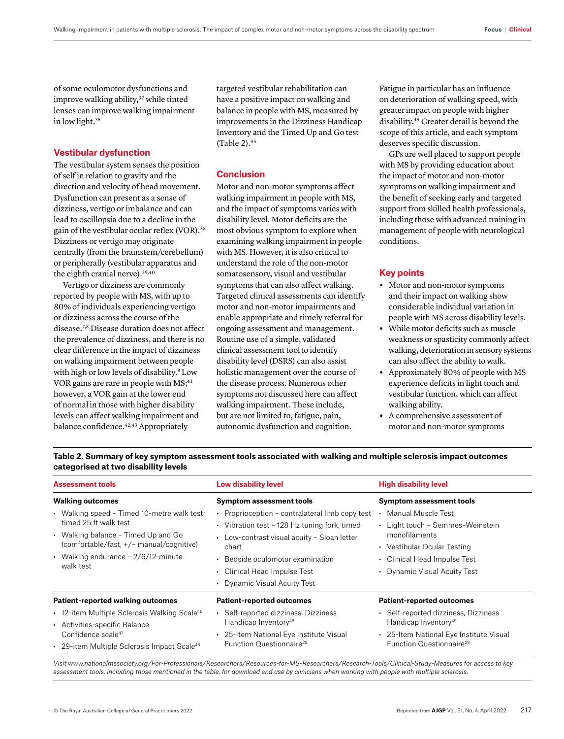of some oculomotor dysfunctions and improve walking ability,<sup>37</sup> while tinted lenses can improve walking impairment in low light.35

#### **Vestibular dysfunction**

The vestibular system senses the position of self in relation to gravity and the direction and velocity of head movement. Dysfunction can present as a sense of dizziness, vertigo or imbalance and can lead to oscillopsia due to a decline in the gain of the vestibular ocular reflex (VOR).<sup>38</sup> Dizziness or vertigo may originate centrally (from the brainstem/cerebellum) or peripherally (vestibular apparatus and the eighth cranial nerve).<sup>39,40</sup>

Vertigo or dizziness are commonly reported by people with MS, with up to 80% of individuals experiencing vertigo or dizziness across the course of the disease.7,8 Disease duration does not affect the prevalence of dizziness, and there is no clear difference in the impact of dizziness on walking impairment between people with high or low levels of disability.<sup>8</sup> Low VOR gains are rare in people with MS;<sup>41</sup> however, a VOR gain at the lower end of normal in those with higher disability levels can affect walking impairment and balance confidence.<sup>42,43</sup> Appropriately

targeted vestibular rehabilitation can have a positive impact on walking and balance in people with MS, measured by improvements in the Dizziness Handicap Inventory and the Timed Up and Go test (Table  $2$ ). $44$ 

## **Conclusion**

Motor and non-motor symptoms affect walking impairment in people with MS, and the impact of symptoms varies with disability level. Motor deficits are the most obvious symptom to explore when examining walking impairment in people with MS. However, it is also critical to understand the role of the non-motor somatosensory, visual and vestibular symptoms that can also affect walking. Targeted clinical assessments can identify motor and non-motor impairments and enable appropriate and timely referral for ongoing assessment and management. Routine use of a simple, validated clinical assessment tool to identify disability level (DSRS) can also assist holistic management over the course of the disease process. Numerous other symptoms not discussed here can affect walking impairment. These include, but are not limited to, fatigue, pain, autonomic dysfunction and cognition.

Fatigue in particular has an influence on deterioration of walking speed, with greater impact on people with higher disability.45 Greater detail is beyond the scope of this article, and each symptom deserves specific discussion.

GPs are well placed to support people with MS by providing education about the impact of motor and non-motor symptoms on walking impairment and the benefit of seeking early and targeted support from skilled health professionals, including those with advanced training in management of people with neurological conditions.

# **Key points**

- **•** Motor and non-motor symptoms and their impact on walking show considerable individual variation in people with MS across disability levels.
- **•** While motor deficits such as muscle weakness or spasticity commonly affect walking, deterioration in sensory systems can also affect the ability to walk.
- **•** Approximately 80% of people with MS experience deficits in light touch and vestibular function, which can affect walking ability.
- **•** A comprehensive assessment of motor and non-motor symptoms

**Table 2. Summary of key symptom assessment tools associated with walking and multiple sclerosis impact outcomes categorised at two disability levels**

| <b>Assessment tools</b>                                                                                                                                                                                       | Low disability level                                                                                                                                                                                                                                      | <b>High disability level</b>                                                                                                                                           |
|---------------------------------------------------------------------------------------------------------------------------------------------------------------------------------------------------------------|-----------------------------------------------------------------------------------------------------------------------------------------------------------------------------------------------------------------------------------------------------------|------------------------------------------------------------------------------------------------------------------------------------------------------------------------|
| <b>Walking outcomes</b>                                                                                                                                                                                       | Symptom assessment tools                                                                                                                                                                                                                                  | <b>Symptom assessment tools</b>                                                                                                                                        |
| • Walking speed - Timed 10-metre walk test;<br>timed 25 ft walk test<br>• Walking balance – Timed Up and Go<br>(comfortable/fast, +/- manual/cognitive)<br>• Walking endurance $-2/6/12$ -minute<br>walk test | Proprioception - contralateral limb copy test<br>• Vibration test - 128 Hz tuning fork, timed<br>• Low-contrast visual acuity - Sloan letter<br>chart<br>• Bedside oculomotor examination<br>• Clinical Head Impulse Test<br>• Dynamic Visual Acuity Test | Manual Muscle Test<br>• Light touch - Semmes-Weinstein<br>monofilaments<br>• Vestibular Ocular Testing<br>• Clinical Head Impulse Test<br>• Dynamic Visual Acuity Test |
| <b>Patient-reported walking outcomes</b>                                                                                                                                                                      | <b>Patient-reported outcomes</b>                                                                                                                                                                                                                          | <b>Patient-reported outcomes</b>                                                                                                                                       |
| • 12-item Multiple Sclerosis Walking Scale <sup>46</sup><br>• Activities-specific Balance<br>Confidence scale <sup>47</sup><br>• 29-item Multiple Sclerosis Impact Scale <sup>48</sup>                        | • Self-reported dizziness, Dizziness<br>Handicap Inventory <sup>46</sup><br>• 25-Item National Eye Institute Visual<br>Function Questionnaire <sup>29</sup>                                                                                               | • Self-reported dizziness, Dizziness<br>Handicap Inventory <sup>49</sup><br>• 25-Item National Eye Institute Visual<br>Function Questionnaire <sup>29</sup>            |

*Visit [www.nationalmssociety.org/For-Professionals/Researchers/Resources-for-MS-Researchers/Research-Tools/Clinical-Study-Measures](https://www.nationalmssociety.org/For-Professionals/Researchers/Resources-for-MS-Researchers/Research-Tools/Clinical-Study-Measures) for access to key assessment tools, including those mentioned in the table, for download and use by clinicians when working with people with multiple sclerosis.*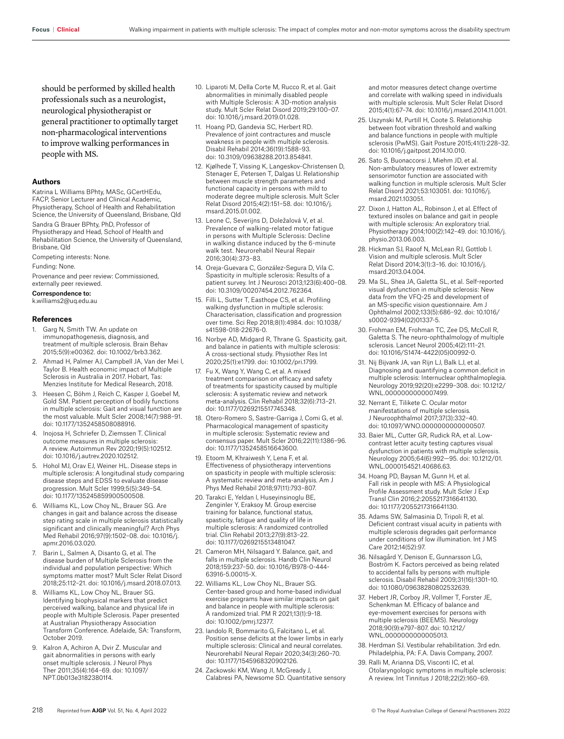should be performed by skilled health professionals such as a neurologist, neurological physiotherapist or general practitioner to optimally target non-pharmacological interventions to improve walking performances in people with MS.

#### **Authors**

Katrina L Williams BPhty, MASc, GCertHEdu, FACP, Senior Lecturer and Clinical Academic, Physiotherapy, School of Health and Rehabilitation Science, the University of Queensland, Brisbane, Qld Sandra G Brauer BPhty, PhD, Professor of Physiotherapy and Head, School of Health and Rehabilitation Science, the University of Queensland, Brisbane, Qld

Competing interests: None.

Funding: None.

Provenance and peer review: Commissioned, externally peer reviewed.

Correspondence to:

k.williams2@uq.edu.au

#### **References**

- 1. Garg N, Smith TW. An update on immunopathogenesis, diagnosis, and treatment of multiple sclerosis. Brain Behav 2015;5(9):e00362. doi: 10.1002/brb3.362.
- 2. Ahmad H, Palmer AJ, Campbell JA, Van der Mei I, Taylor B. Health economic impact of Multiple Sclerosis in Australia in 2017. Hobart, Tas: Menzies Institute for Medical Research, 2018.
- 3. Heesen C, Böhm J, Reich C, Kasper J, Goebel M, Gold SM. Patient perception of bodily functions in multiple sclerosis: Gait and visual function are the most valuable. Mult Scler 2008;14(7):988–91. doi: 10.1177/1352458508088916.
- 4. Inojosa H, Schriefer D, Ziemssen T. Clinical outcome measures in multiple sclerosis: A review. Autoimmun Rev 2020;19(5):102512. doi: 10.1016/j.autrev.2020.102512.
- 5. Hohol MJ, Orav EJ, Weiner HL. Disease steps in multiple sclerosis: A longitudinal study comparing disease steps and EDSS to evaluate disease progression. Mult Scler 1999;5(5):349–54. doi: 10.1177/135245859900500508.
- 6. Williams KL, Low Choy NL, Brauer SG. Are changes in gait and balance across the disease step rating scale in multiple sclerosis statistically significant and clinically meaningful? Arch Phys Med Rehabil 2016;97(9):1502–08. doi: 10.1016/j. apmr.2016.03.020.
- 7. Barin L, Salmen A, Disanto G, et al. The disease burden of Multiple Sclerosis from the individual and population perspective: Which symptoms matter most? Mult Scler Relat Disord 2018;25:112–21. doi: 10.1016/j.msard.2018.07.013.
- 8. Williams KL, Low Choy NL, Brauer SG. Identifying biophysical markers that predict perceived walking, balance and physical life in people with Multiple Sclerosis. Paper presented at Australian Physiotherapy Association Transform Conference. Adelaide, SA: Transform, October 2019.
- 9. Kalron A, Achiron A, Dvir Z. Muscular and gait abnormalities in persons with early onset multiple sclerosis. J Neurol Phys Ther 2011;35(4):164–69. doi: 10.1097/ NPT.0b013e31823801f4.
- 10. Liparoti M, Della Corte M, Rucco R, et al. Gait abnormalities in minimally disabled people with Multiple Sclerosis: A 3D-motion analysis study. Mult Scler Relat Disord 2019;29:100–07. doi: 10.1016/j.msard.2019.01.028.
- 11. Hoang PD, Gandevia SC, Herbert RD. Prevalence of joint contractures and muscle weakness in people with multiple sclerosis. Disabil Rehabil 2014;36(19):1588–93. doi: 10.3109/09638288.2013.854841.
- 12. Kjølhede T, Vissing K, Langeskov-Christensen D, Stenager E, Petersen T, Dalgas U. Relationship between muscle strength parameters and functional capacity in persons with mild to moderate degree multiple sclerosis. Mult Scler Relat Disord 2015;4(2):151–58. doi: 10.1016/j. msard.2015.01.002.
- 13. Leone C, Severijns D, Doležalová V, et al. Prevalence of walking-related motor fatigue in persons with Multiple Sclerosis: Decline in walking distance induced by the 6-minute walk test. Neurorehabil Neural Repair 2016;30(4):373–83.
- 14. Oreja-Guevara C, González-Segura D, Vila C. Spasticity in multiple sclerosis: Results of a patient survey. Int J Neurosci 2013;123(6):400–08. doi: 10.3109/00207454.2012.762364.
- 15. Filli L, Sutter T, Easthope CS, et al. Profiling walking dysfunction in multiple sclerosis: Characterisation, classification and progression over time. Sci Rep 2018;8(1):4984. doi: 10.1038/ s41598-018-22676-0.
- 16. Norbye AD, Midgard R, Thrane G. Spasticity, gait, and balance in patients with multiple sclerosis: A cross-sectional study. Physiother Res Int 2020;25(1):e1799. doi: 10.1002/pri.1799.
- 17. Fu X, Wang Y, Wang C, et al. A mixed treatment comparison on efficacy and safety of treatments for spasticity caused by multiple sclerosis: A systematic review and network meta-analysis. Clin Rehabil 2018;32(6):713–21. doi: 10.1177/0269215517745348.
- 18. Otero-Romero S, Sastre-Garriga J, Comi G, et al. Pharmacological management of spasticity in multiple sclerosis: Systematic review and consensus paper. Mult Scler 2016;22(11):1386–96. doi: 10.1177/1352458516643600.
- 19. Etoom M, Khraiwesh Y, Lena F, et al. Effectiveness of physiotherapy interventions on spasticity in people with multiple sclerosis: A systematic review and meta-analysis. Am J Phys Med Rehabil 2018;97(11):793–807.
- 20. Tarakci E, Yeldan I, Huseyinsinoglu BE, Zenginler Y, Eraksoy M. Group exercise training for balance, functional status, spasticity, fatigue and quality of life in multiple sclerosis: A randomized controlled trial. Clin Rehabil 2013;27(9):813–22. doi: 10.1177/0269215513481047.
- 21. Cameron MH, Nilsagard Y. Balance, gait, and falls in multiple sclerosis. Handb Clin Neurol 2018;159:237–50. doi: 10.1016/B978-0-444- 63916-5.00015-X.
- 22. Williams KL, Low Choy NL, Brauer SG. Center-based group and home-based individual exercise programs have similar impacts on gait and balance in people with multiple sclerosis: A randomized trial. PM R 2021;13(1):9–18. doi: 10.1002/pmrj.12377.
- 23. Iandolo R, Bommarito G, Falcitano L, et al. Position sense deficits at the lower limbs in early multiple sclerosis: Clinical and neural correlates. Neurorehabil Neural Repair 2020;34(3):260–70. doi: 10.1177/1545968320902126.
- 24. Zackowski KM, Wang JI, McGready J, Calabresi PA, Newsome SD. Quantitative sensory

and motor measures detect change overtime and correlate with walking speed in individuals with multiple sclerosis. Mult Scler Relat Disord 2015;4(1):67–74. doi: 10.1016/j.msard.2014.11.001.

- 25. Uszynski M, Purtill H, Coote S. Relationship between foot vibration threshold and walking and balance functions in people with multiple sclerosis (PwMS). Gait Posture 2015;41(1):228–32. doi: 10.1016/j.gaitpost.2014.10.010.
- 26. Sato S, Buonaccorsi J, Miehm JD, et al. Non-ambulatory measures of lower extremity sensorimotor function are associated with walking function in multiple sclerosis. Mult Scler Relat Disord 2021;53:103051. doi: 10.1016/j. msard.2021.103051.
- 27. Dixon J, Hatton AL, Robinson J, et al. Effect of textured insoles on balance and gait in people with multiple sclerosis: An exploratory trial. Physiotherapy 2014;100(2):142–49. doi: 10.1016/j. physio.2013.06.003.
- 28. Hickman SJ, Raoof N, McLean RJ, Gottlob I. Vision and multiple sclerosis. Mult Scler Relat Disord 2014;3(1):3–16. doi: 10.1016/j. msard.2013.04.004.
- 29. Ma SL, Shea JA, Galetta SL, et al. Self-reported visual dysfunction in multiple sclerosis: New data from the VFQ-25 and development of an MS-specific vision questionnaire. Am J Ophthalmol 2002;133(5):686–92. doi: 10.1016/ s0002-9394(02)01337-5.
- 30. Frohman EM, Frohman TC, Zee DS, McColl R, Galetta S. The neuro-ophthalmology of multiple sclerosis. Lancet Neurol 2005;4(2):111–21. doi: 10.1016/S1474-4422(05)00992-0.
- 31. Nij Bijvank JA, van Rijn LJ, Balk LJ, et al. Diagnosing and quantifying a common deficit in multiple sclerosis: Internuclear ophthalmoplegia. Neurology 2019;92(20):e2299–308. doi: 10.1212/ WNL.0000000000007499.
- 32. Nerrant E, Tilikete C. Ocular motor manifestations of multiple sclerosis. J Neuroophthalmol 2017;37(3):332–40. doi: 10.1097/WNO.0000000000000507.
- 33. Baier ML, Cutter GR, Rudick RA, et al. Lowcontrast letter acuity testing captures visual dysfunction in patients with multiple sclerosis. Neurology 2005;64(6):992—95. doi: 10.1212/01. WNL.0000154521.40686.63.
- 34. Hoang PD, Baysan M, Gunn H, et al. Fall risk in people with MS: A Physiological Profile Assessment study. Mult Scler J Exp Transl Clin 2016;2:2055217316641130. doi: 10.1177/2055217316641130.
- 35. Adams SW, Salmasinia D, Tripoli R, et al. Deficient contrast visual acuity in patients with multiple sclerosis degrades gait performance under conditions of low illumination. Int J MS Care 2012;14(52):97.
- 36. Nilsagård Y, Denison E, Gunnarsson LG, Boström K. Factors perceived as being related to accidental falls by persons with multiple sclerosis. Disabil Rehabil 2009;31(16):1301–10. doi: 10.1080/09638280802532639.
- 37. Hebert JR, Corboy JR, Vollmer T, Forster JE, Schenkman M. Efficacy of balance and eye-movement exercises for persons with multiple sclerosis (BEEMS). Neurology 2018;90(9):e797–807. doi: 10.1212/ WNL.0000000000005013
- 38. Herdman SJ. Vestibular rehabilitation. 3rd edn. Philadelphia, PA: F.A. Davis Company, 2007.
- 39. Ralli M, Arianna DS, Visconti IC, et al. Otolaryngologic symptoms in multiple sclerosis: A review. Int Tinnitus J 2018;22(2):160–69.